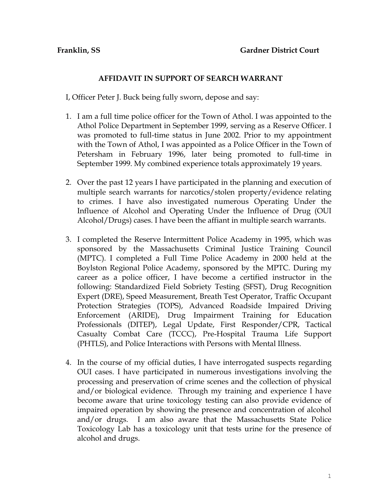## **AFFIDAVIT IN SUPPORT OF SEARCH WARRANT**

I, Officer Peter J. Buck being fully sworn, depose and say:

- 1. I am a full time police officer for the Town of Athol. I was appointed to the Athol Police Department in September 1999, serving as a Reserve Officer. I was promoted to full-time status in June 2002. Prior to my appointment with the Town of Athol, I was appointed as a Police Officer in the Town of Petersham in February 1996, later being promoted to full-time in September 1999. My combined experience totals approximately 19 years.
- 2. Over the past 12 years I have participated in the planning and execution of multiple search warrants for narcotics/stolen property/evidence relating to crimes. I have also investigated numerous Operating Under the Influence of Alcohol and Operating Under the Influence of Drug (OUI Alcohol/Drugs) cases. I have been the affiant in multiple search warrants.
- 3. I completed the Reserve Intermittent Police Academy in 1995, which was sponsored by the Massachusetts Criminal Justice Training Council (MPTC). I completed a Full Time Police Academy in 2000 held at the Boylston Regional Police Academy, sponsored by the MPTC. During my career as a police officer, I have become a certified instructor in the following: Standardized Field Sobriety Testing (SFST), Drug Recognition Expert (DRE), Speed Measurement, Breath Test Operator, Traffic Occupant Protection Strategies (TOPS), Advanced Roadside Impaired Driving Enforcement (ARIDE), Drug Impairment Training for Education Professionals (DITEP), Legal Update, First Responder/CPR, Tactical Casualty Combat Care (TCCC), Pre-Hospital Trauma Life Support (PHTLS), and Police Interactions with Persons with Mental Illness.
- 4. In the course of my official duties, I have interrogated suspects regarding OUI cases. I have participated in numerous investigations involving the processing and preservation of crime scenes and the collection of physical and/or biological evidence. Through my training and experience I have become aware that urine toxicology testing can also provide evidence of impaired operation by showing the presence and concentration of alcohol and/or drugs. I am also aware that the Massachusetts State Police Toxicology Lab has a toxicology unit that tests urine for the presence of alcohol and drugs.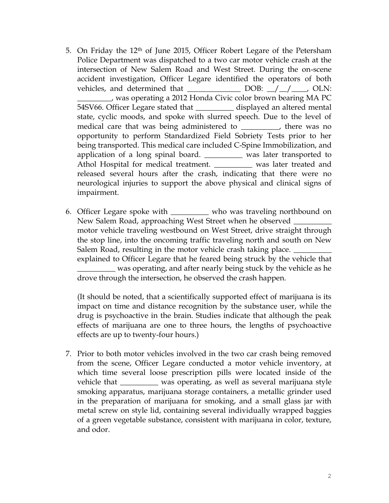- 5. On Friday the 12th of June 2015, Officer Robert Legare of the Petersham Police Department was dispatched to a two car motor vehicle crash at the intersection of New Salem Road and West Street. During the on-scene accident investigation, Officer Legare identified the operators of both vehicles, and determined that  $\Box$  DOB:  $\Box/\Box/\Box$ , OLN: \_\_\_\_\_\_\_\_\_, was operating a 2012 Honda Civic color brown bearing MA PC 54SV66. Officer Legare stated that \_\_\_\_\_\_\_\_\_\_ displayed an altered mental state, cyclic moods, and spoke with slurred speech. Due to the level of medical care that was being administered to \_\_\_\_\_\_\_\_, there was no opportunity to perform Standardized Field Sobriety Tests prior to her being transported. This medical care included C-Spine Immobilization, and application of a long spinal board. \_\_\_\_\_\_\_\_\_\_ was later transported to Athol Hospital for medical treatment. was later treated and released several hours after the crash, indicating that there were no neurological injuries to support the above physical and clinical signs of impairment.
- 6. Officer Legare spoke with \_\_\_\_\_\_\_\_\_\_ who was traveling northbound on New Salem Road, approaching West Street when he observed motor vehicle traveling westbound on West Street, drive straight through the stop line, into the oncoming traffic traveling north and south on New Salem Road, resulting in the motor vehicle crash taking place. explained to Officer Legare that he feared being struck by the vehicle that

\_\_\_\_\_\_\_\_\_\_ was operating, and after nearly being stuck by the vehicle as he drove through the intersection, he observed the crash happen.

(It should be noted, that a scientifically supported effect of marijuana is its impact on time and distance recognition by the substance user, while the drug is psychoactive in the brain. Studies indicate that although the peak effects of marijuana are one to three hours, the lengths of psychoactive effects are up to twenty-four hours.)

7. Prior to both motor vehicles involved in the two car crash being removed from the scene, Officer Legare conducted a motor vehicle inventory, at which time several loose prescription pills were located inside of the vehicle that \_\_\_\_\_\_\_\_\_\_ was operating, as well as several marijuana style smoking apparatus, marijuana storage containers, a metallic grinder used in the preparation of marijuana for smoking, and a small glass jar with metal screw on style lid, containing several individually wrapped baggies of a green vegetable substance, consistent with marijuana in color, texture, and odor.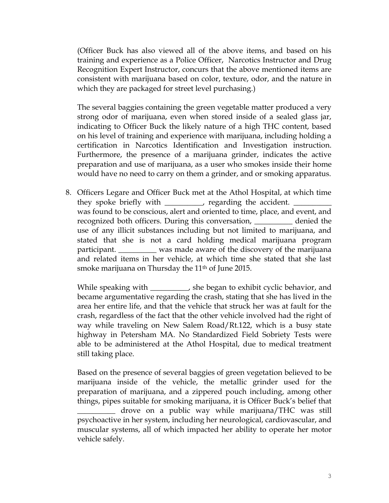(Officer Buck has also viewed all of the above items, and based on his training and experience as a Police Officer, Narcotics Instructor and Drug Recognition Expert Instructor, concurs that the above mentioned items are consistent with marijuana based on color, texture, odor, and the nature in which they are packaged for street level purchasing.)

The several baggies containing the green vegetable matter produced a very strong odor of marijuana, even when stored inside of a sealed glass jar, indicating to Officer Buck the likely nature of a high THC content, based on his level of training and experience with marijuana, including holding a certification in Narcotics Identification and Investigation instruction. Furthermore, the presence of a marijuana grinder, indicates the active preparation and use of marijuana, as a user who smokes inside their home would have no need to carry on them a grinder, and or smoking apparatus.

8. Officers Legare and Officer Buck met at the Athol Hospital, at which time they spoke briefly with \_\_\_\_\_\_\_\_\_, regarding the accident. was found to be conscious, alert and oriented to time, place, and event, and recognized both officers. During this conversation, \_\_\_\_\_\_\_\_\_\_ denied the use of any illicit substances including but not limited to marijuana, and stated that she is not a card holding medical marijuana program participant. \_\_\_\_\_\_\_\_\_\_ was made aware of the discovery of the marijuana and related items in her vehicle, at which time she stated that she last smoke marijuana on Thursday the 11<sup>th</sup> of June 2015.

While speaking with \_\_\_\_\_\_\_\_, she began to exhibit cyclic behavior, and became argumentative regarding the crash, stating that she has lived in the area her entire life, and that the vehicle that struck her was at fault for the crash, regardless of the fact that the other vehicle involved had the right of way while traveling on New Salem Road/Rt.122, which is a busy state highway in Petersham MA. No Standardized Field Sobriety Tests were able to be administered at the Athol Hospital, due to medical treatment still taking place.

Based on the presence of several baggies of green vegetation believed to be marijuana inside of the vehicle, the metallic grinder used for the preparation of marijuana, and a zippered pouch including, among other things, pipes suitable for smoking marijuana, it is Officer Buck's belief that \_\_\_\_\_\_\_\_\_\_ drove on a public way while marijuana/THC was still psychoactive in her system, including her neurological, cardiovascular, and muscular systems, all of which impacted her ability to operate her motor vehicle safely.